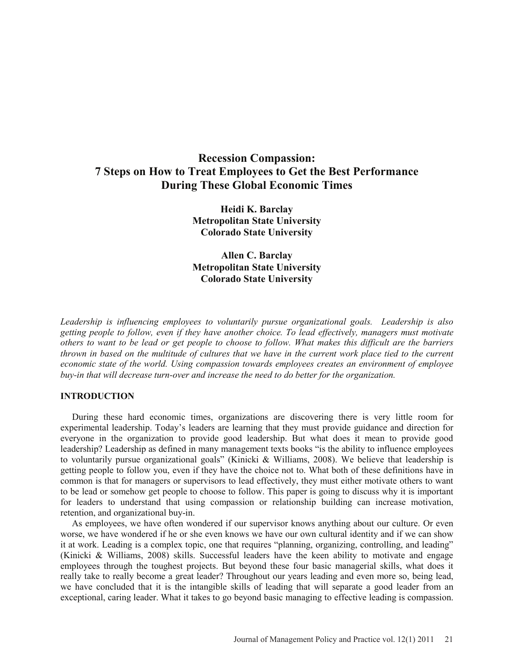# **Recession Compassion: 7 Steps on How to Treat Employees to Get the Best Performance During These Global Economic Times**

**Heidi K. Barclay Metropolitan State University Colorado State University** 

**Allen C. Barclay Metropolitan State University Colorado State University** 

*Leadership is influencing employees to voluntarily pursue organizational goals. Leadership is also getting people to follow, even if they have another choice. To lead effectively, managers must motivate others to want to be lead or get people to choose to follow. What makes this difficult are the barriers thrown in based on the multitude of cultures that we have in the current work place tied to the current economic state of the world. Using compassion towards employees creates an environment of employee buy-in that will decrease turn-over and increase the need to do better for the organization.*

#### **INTRODUCTION**

During these hard economic times, organizations are discovering there is very little room for experimental leadership. Today's leaders are learning that they must provide guidance and direction for everyone in the organization to provide good leadership. But what does it mean to provide good leadership? Leadership as defined in many management texts books "is the ability to influence employees to voluntarily pursue organizational goals" (Kinicki & Williams, 2008). We believe that leadership is getting people to follow you, even if they have the choice not to. What both of these definitions have in common is that for managers or supervisors to lead effectively, they must either motivate others to want to be lead or somehow get people to choose to follow. This paper is going to discuss why it is important for leaders to understand that using compassion or relationship building can increase motivation, retention, and organizational buy-in.

As employees, we have often wondered if our supervisor knows anything about our culture. Or even worse, we have wondered if he or she even knows we have our own cultural identity and if we can show it at work. Leading is a complex topic, one that requires "planning, organizing, controlling, and leading" (Kinicki & Williams, 2008) skills. Successful leaders have the keen ability to motivate and engage employees through the toughest projects. But beyond these four basic managerial skills, what does it really take to really become a great leader? Throughout our years leading and even more so, being lead, we have concluded that it is the intangible skills of leading that will separate a good leader from an exceptional, caring leader. What it takes to go beyond basic managing to effective leading is compassion.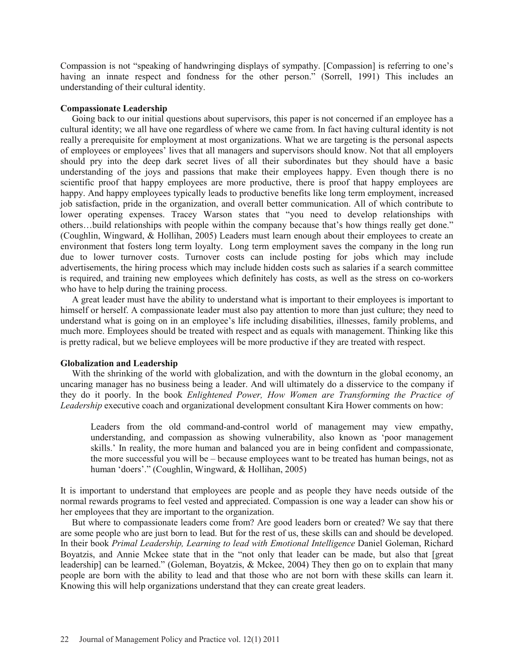Compassion is not "speaking of handwringing displays of sympathy. [Compassion] is referring to one's having an innate respect and fondness for the other person." (Sorrell, 1991) This includes an understanding of their cultural identity.

## **Compassionate Leadership**

Going back to our initial questions about supervisors, this paper is not concerned if an employee has a cultural identity; we all have one regardless of where we came from. In fact having cultural identity is not really a prerequisite for employment at most organizations. What we are targeting is the personal aspects of employees or employees' lives that all managers and supervisors should know. Not that all employers should pry into the deep dark secret lives of all their subordinates but they should have a basic understanding of the joys and passions that make their employees happy. Even though there is no scientific proof that happy employees are more productive, there is proof that happy employees are happy. And happy employees typically leads to productive benefits like long term employment, increased job satisfaction, pride in the organization, and overall better communication. All of which contribute to lower operating expenses. Tracey Warson states that "you need to develop relationships with others…build relationships with people within the company because that's how things really get done." (Coughlin, Wingward, & Hollihan, 2005) Leaders must learn enough about their employees to create an environment that fosters long term loyalty. Long term employment saves the company in the long run due to lower turnover costs. Turnover costs can include posting for jobs which may include advertisements, the hiring process which may include hidden costs such as salaries if a search committee is required, and training new employees which definitely has costs, as well as the stress on co-workers who have to help during the training process.

A great leader must have the ability to understand what is important to their employees is important to himself or herself. A compassionate leader must also pay attention to more than just culture; they need to understand what is going on in an employee's life including disabilities, illnesses, family problems, and much more. Employees should be treated with respect and as equals with management. Thinking like this is pretty radical, but we believe employees will be more productive if they are treated with respect.

### **Globalization and Leadership**

With the shrinking of the world with globalization, and with the downturn in the global economy, an uncaring manager has no business being a leader. And will ultimately do a disservice to the company if they do it poorly. In the book *Enlightened Power, How Women are Transforming the Practice of Leadership* executive coach and organizational development consultant Kira Hower comments on how:

Leaders from the old command-and-control world of management may view empathy, understanding, and compassion as showing vulnerability, also known as 'poor management skills.' In reality, the more human and balanced you are in being confident and compassionate, the more successful you will be – because employees want to be treated has human beings, not as human 'doers'." (Coughlin, Wingward, & Hollihan, 2005)

It is important to understand that employees are people and as people they have needs outside of the normal rewards programs to feel vested and appreciated. Compassion is one way a leader can show his or her employees that they are important to the organization.

But where to compassionate leaders come from? Are good leaders born or created? We say that there are some people who are just born to lead. But for the rest of us, these skills can and should be developed. In their book *Primal Leadership, Learning to lead with Emotional Intelligence* Daniel Goleman, Richard Boyatzis, and Annie Mckee state that in the "not only that leader can be made, but also that [great leadership] can be learned." (Goleman, Boyatzis, & Mckee, 2004) They then go on to explain that many people are born with the ability to lead and that those who are not born with these skills can learn it. Knowing this will help organizations understand that they can create great leaders.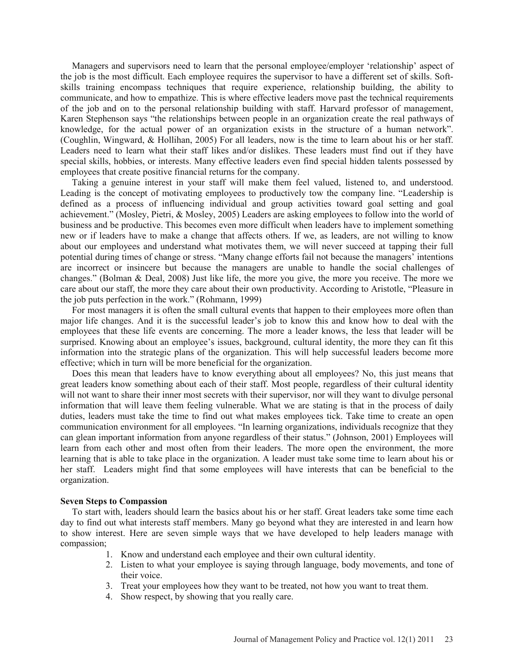Managers and supervisors need to learn that the personal employee/employer 'relationship' aspect of the job is the most difficult. Each employee requires the supervisor to have a different set of skills. Softskills training encompass techniques that require experience, relationship building, the ability to communicate, and how to empathize. This is where effective leaders move past the technical requirements of the job and on to the personal relationship building with staff. Harvard professor of management, Karen Stephenson says "the relationships between people in an organization create the real pathways of knowledge, for the actual power of an organization exists in the structure of a human network". (Coughlin, Wingward, & Hollihan, 2005) For all leaders, now is the time to learn about his or her staff. Leaders need to learn what their staff likes and/or dislikes. These leaders must find out if they have special skills, hobbies, or interests. Many effective leaders even find special hidden talents possessed by employees that create positive financial returns for the company.

Taking a genuine interest in your staff will make them feel valued, listened to, and understood. Leading is the concept of motivating employees to productively tow the company line. "Leadership is defined as a process of influencing individual and group activities toward goal setting and goal achievement." (Mosley, Pietri, & Mosley, 2005) Leaders are asking employees to follow into the world of business and be productive. This becomes even more difficult when leaders have to implement something new or if leaders have to make a change that affects others. If we, as leaders, are not willing to know about our employees and understand what motivates them, we will never succeed at tapping their full potential during times of change or stress. "Many change efforts fail not because the managers' intentions are incorrect or insincere but because the managers are unable to handle the social challenges of changes." (Bolman & Deal, 2008) Just like life, the more you give, the more you receive. The more we care about our staff, the more they care about their own productivity. According to Aristotle, "Pleasure in the job puts perfection in the work." (Rohmann, 1999)

For most managers it is often the small cultural events that happen to their employees more often than major life changes. And it is the successful leader's job to know this and know how to deal with the employees that these life events are concerning. The more a leader knows, the less that leader will be surprised. Knowing about an employee's issues, background, cultural identity, the more they can fit this information into the strategic plans of the organization. This will help successful leaders become more effective; which in turn will be more beneficial for the organization.

Does this mean that leaders have to know everything about all employees? No, this just means that great leaders know something about each of their staff. Most people, regardless of their cultural identity will not want to share their inner most secrets with their supervisor, nor will they want to divulge personal information that will leave them feeling vulnerable. What we are stating is that in the process of daily duties, leaders must take the time to find out what makes employees tick. Take time to create an open communication environment for all employees. "In learning organizations, individuals recognize that they can glean important information from anyone regardless of their status." (Johnson, 2001) Employees will learn from each other and most often from their leaders. The more open the environment, the more learning that is able to take place in the organization. A leader must take some time to learn about his or her staff. Leaders might find that some employees will have interests that can be beneficial to the organization.

#### **Seven Steps to Compassion**

To start with, leaders should learn the basics about his or her staff. Great leaders take some time each day to find out what interests staff members. Many go beyond what they are interested in and learn how to show interest. Here are seven simple ways that we have developed to help leaders manage with compassion;

- 1. Know and understand each employee and their own cultural identity.
- 2. Listen to what your employee is saying through language, body movements, and tone of their voice.
- 3. Treat your employees how they want to be treated, not how you want to treat them.
- 4. Show respect, by showing that you really care.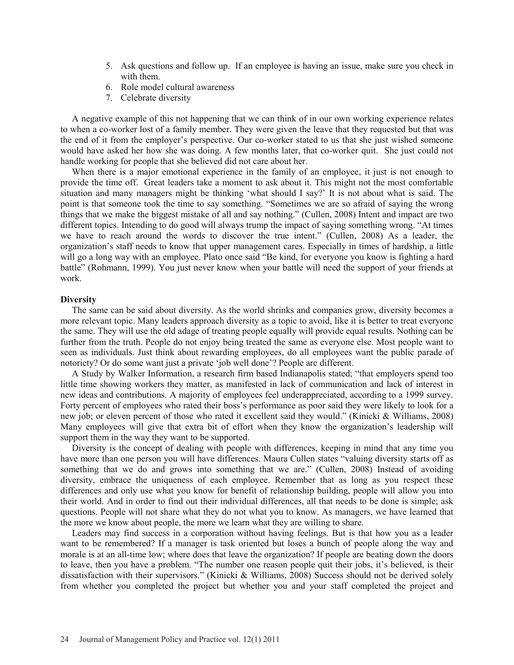- 5. Ask questions and follow up. If an employee is having an issue, make sure you check in with them.
- 6. Role model cultural awareness
- 7. Celebrate diversity

A negative example of this not happening that we can think of in our own working experience relates to when a co-worker lost of a family member. They were given the leave that they requested but that was the end of it from the employer's perspective. Our co-worker stated to us that she just wished someone would have asked her how she was doing. A few months later, that co-worker quit. She just could not handle working for people that she believed did not care about her.

When there is a major emotional experience in the family of an employee, it just is not enough to provide the time off. Great leaders take a moment to ask about it. This might not the most comfortable situation and many managers might be thinking 'what should I say?' It is not about what is said. The point is that someone took the time to say something. "Sometimes we are so afraid of saying the wrong things that we make the biggest mistake of all and say nothing." (Cullen, 2008) Intent and impact are two different topics. Intending to do good will always trump the impact of saying something wrong. "At times we have to reach around the words to discover the true intent." (Cullen, 2008) As a leader, the organization's staff needs to know that upper management cares. Especially in times of hardship, a little will go a long way with an employee. Plato once said "Be kind, for everyone you know is fighting a hard battle" (Rohmann, 1999). You just never know when your battle will need the support of your friends at work.

#### **Diversity**

The same can be said about diversity. As the world shrinks and companies grow, diversity becomes a more relevant topic. Many leaders approach diversity as a topic to avoid, like it is better to treat everyone the same. They will use the old adage of treating people equally will provide equal results. Nothing can be further from the truth. People do not enjoy being treated the same as everyone else. Most people want to seen as individuals. Just think about rewarding employees, do all employees want the public parade of notoriety? Or do some want just a private 'job well done'? People are different.

A Study by Walker Information, a research firm based Indianapolis stated; "that employers spend too little time showing workers they matter, as manifested in lack of communication and lack of interest in new ideas and contributions. A majority of employees feel underappreciated, according to a 1999 survey. Forty percent of employees who rated their boss's performance as poor said they were likely to look for a new job; or eleven percent of those who rated it excellent said they would." (Kinicki & Williams, 2008) Many employees will give that extra bit of effort when they know the organization's leadership will support them in the way they want to be supported.

Diversity is the concept of dealing with people with differences, keeping in mind that any time you have more than one person you will have differences. Maura Cullen states "valuing diversity starts off as something that we do and grows into something that we are." (Cullen, 2008) Instead of avoiding diversity, embrace the uniqueness of each employee. Remember that as long as you respect these differences and only use what you know for benefit of relationship building, people will allow you into their world. And in order to find out their individual differences, all that needs to be done is simple; ask questions. People will not share what they do not what you to know. As managers, we have learned that the more we know about people, the more we learn what they are willing to share.

Leaders may find success in a corporation without having feelings. But is that how you as a leader want to be remembered? If a manager is task oriented but loses a bunch of people along the way and morale is at an all-time low; where does that leave the organization? If people are beating down the doors to leave, then you have a problem. "The number one reason people quit their jobs, it's believed, is their dissatisfaction with their supervisors." (Kinicki & Williams, 2008) Success should not be derived solely from whether you completed the project but whether you and your staff completed the project and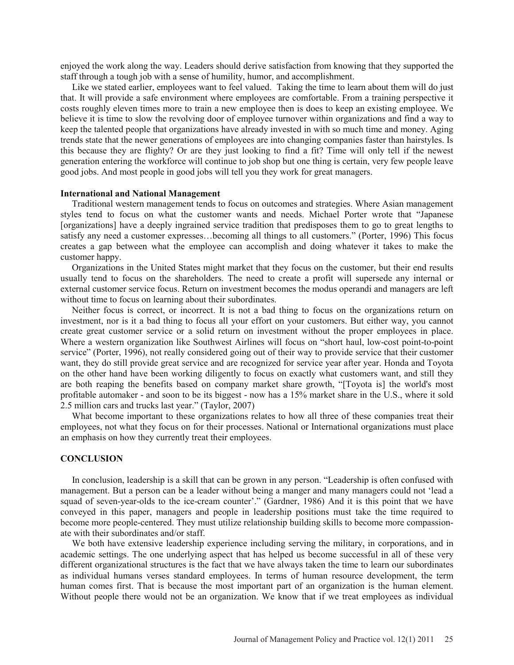enjoyed the work along the way. Leaders should derive satisfaction from knowing that they supported the staff through a tough job with a sense of humility, humor, and accomplishment.

Like we stated earlier, employees want to feel valued. Taking the time to learn about them will do just that. It will provide a safe environment where employees are comfortable. From a training perspective it costs roughly eleven times more to train a new employee then is does to keep an existing employee. We believe it is time to slow the revolving door of employee turnover within organizations and find a way to keep the talented people that organizations have already invested in with so much time and money. Aging trends state that the newer generations of employees are into changing companies faster than hairstyles. Is this because they are flighty? Or are they just looking to find a fit? Time will only tell if the newest generation entering the workforce will continue to job shop but one thing is certain, very few people leave good jobs. And most people in good jobs will tell you they work for great managers.

## **International and National Management**

Traditional western management tends to focus on outcomes and strategies. Where Asian management styles tend to focus on what the customer wants and needs. Michael Porter wrote that "Japanese [organizations] have a deeply ingrained service tradition that predisposes them to go to great lengths to satisfy any need a customer expresses…becoming all things to all customers." (Porter, 1996) This focus creates a gap between what the employee can accomplish and doing whatever it takes to make the customer happy.

Organizations in the United States might market that they focus on the customer, but their end results usually tend to focus on the shareholders. The need to create a profit will supersede any internal or external customer service focus. Return on investment becomes the modus operandi and managers are left without time to focus on learning about their subordinates.

Neither focus is correct, or incorrect. It is not a bad thing to focus on the organizations return on investment, nor is it a bad thing to focus all your effort on your customers. But either way, you cannot create great customer service or a solid return on investment without the proper employees in place. Where a western organization like Southwest Airlines will focus on "short haul, low-cost point-to-point service" (Porter, 1996), not really considered going out of their way to provide service that their customer want, they do still provide great service and are recognized for service year after year. Honda and Toyota on the other hand have been working diligently to focus on exactly what customers want, and still they are both reaping the benefits based on company market share growth, "[Toyota is] the world's most profitable automaker - and soon to be its biggest - now has a 15% market share in the U.S., where it sold 2.5 million cars and trucks last year." (Taylor, 2007)

What become important to these organizations relates to how all three of these companies treat their employees, not what they focus on for their processes. National or International organizations must place an emphasis on how they currently treat their employees.

#### **CONCLUSION**

 In conclusion, leadership is a skill that can be grown in any person. "Leadership is often confused with management. But a person can be a leader without being a manger and many managers could not 'lead a squad of seven-year-olds to the ice-cream counter'." (Gardner, 1986) And it is this point that we have conveyed in this paper, managers and people in leadership positions must take the time required to become more people-centered. They must utilize relationship building skills to become more compassionate with their subordinates and/or staff.

We both have extensive leadership experience including serving the military, in corporations, and in academic settings. The one underlying aspect that has helped us become successful in all of these very different organizational structures is the fact that we have always taken the time to learn our subordinates as individual humans verses standard employees. In terms of human resource development, the term human comes first. That is because the most important part of an organization is the human element. Without people there would not be an organization. We know that if we treat employees as individual